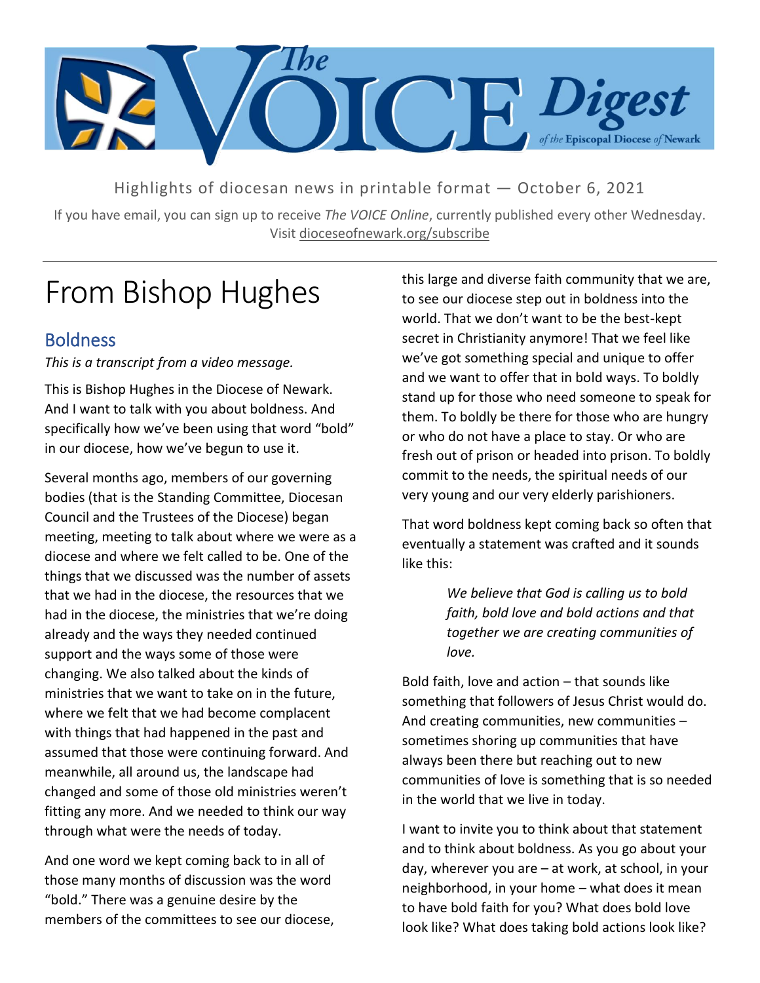

Highlights of diocesan news in printable format — October 6, 2021

If you have email, you can sign up to receive *The VOICE Online*, currently published every other Wednesday. Visit dioceseofnewark.org/subscribe

## From Bishop Hughes

#### Boldness

*This is a transcript from a video message.*

This is Bishop Hughes in the Diocese of Newark. And I want to talk with you about boldness. And specifically how we've been using that word "bold" in our diocese, how we've begun to use it.

Several months ago, members of our governing bodies (that is the Standing Committee, Diocesan Council and the Trustees of the Diocese) began meeting, meeting to talk about where we were as a diocese and where we felt called to be. One of the things that we discussed was the number of assets that we had in the diocese, the resources that we had in the diocese, the ministries that we're doing already and the ways they needed continued support and the ways some of those were changing. We also talked about the kinds of ministries that we want to take on in the future, where we felt that we had become complacent with things that had happened in the past and assumed that those were continuing forward. And meanwhile, all around us, the landscape had changed and some of those old ministries weren't fitting any more. And we needed to think our way through what were the needs of today.

And one word we kept coming back to in all of those many months of discussion was the word "bold." There was a genuine desire by the members of the committees to see our diocese, this large and diverse faith community that we are, to see our diocese step out in boldness into the world. That we don't want to be the best-kept secret in Christianity anymore! That we feel like we've got something special and unique to offer and we want to offer that in bold ways. To boldly stand up for those who need someone to speak for them. To boldly be there for those who are hungry or who do not have a place to stay. Or who are fresh out of prison or headed into prison. To boldly commit to the needs, the spiritual needs of our very young and our very elderly parishioners.

That word boldness kept coming back so often that eventually a statement was crafted and it sounds like this:

> *We believe that God is calling us to bold faith, bold love and bold actions and that together we are creating communities of love.*

Bold faith, love and action – that sounds like something that followers of Jesus Christ would do. And creating communities, new communities – sometimes shoring up communities that have always been there but reaching out to new communities of love is something that is so needed in the world that we live in today.

I want to invite you to think about that statement and to think about boldness. As you go about your day, wherever you are – at work, at school, in your neighborhood, in your home – what does it mean to have bold faith for you? What does bold love look like? What does taking bold actions look like?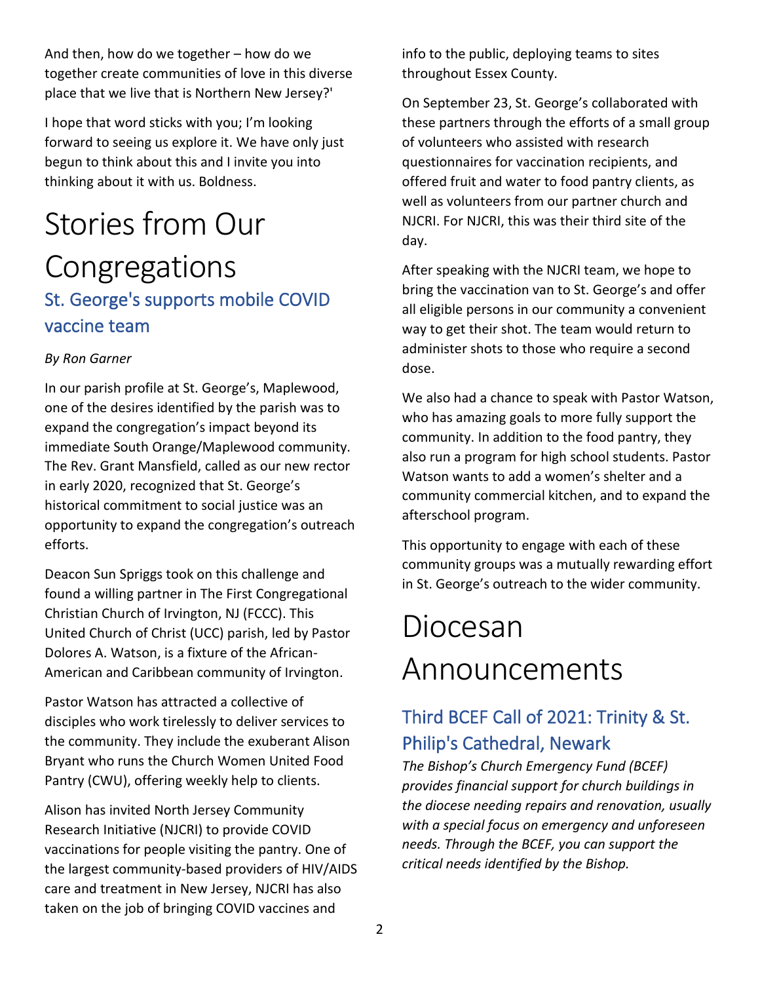And then, how do we together – how do we together create communities of love in this diverse place that we live that is Northern New Jersey?'

I hope that word sticks with you; I'm looking forward to seeing us explore it. We have only just begun to think about this and I invite you into thinking about it with us. Boldness.

### Stories from Our Congregations St. George's supports mobile COVID vaccine team

#### *By Ron Garner*

In our parish profile at St. George's, Maplewood, one of the desires identified by the parish was to expand the congregation's impact beyond its immediate South Orange/Maplewood community. The Rev. Grant Mansfield, called as our new rector in early 2020, recognized that St. George's historical commitment to social justice was an opportunity to expand the congregation's outreach efforts.

Deacon Sun Spriggs took on this challenge and found a willing partner in The First Congregational Christian Church of Irvington, NJ (FCCC). This United Church of Christ (UCC) parish, led by Pastor Dolores A. Watson, is a fixture of the African-American and Caribbean community of Irvington.

Pastor Watson has attracted a collective of disciples who work tirelessly to deliver services to the community. They include the exuberant Alison Bryant who runs the Church Women United Food Pantry (CWU), offering weekly help to clients.

Alison has invited North Jersey Community Research Initiative (NJCRI) to provide COVID vaccinations for people visiting the pantry. One of the largest community-based providers of HIV/AIDS care and treatment in New Jersey, NJCRI has also taken on the job of bringing COVID vaccines and

info to the public, deploying teams to sites throughout Essex County.

On September 23, St. George's collaborated with these partners through the efforts of a small group of volunteers who assisted with research questionnaires for vaccination recipients, and offered fruit and water to food pantry clients, as well as volunteers from our partner church and NJCRI. For NJCRI, this was their third site of the day.

After speaking with the NJCRI team, we hope to bring the vaccination van to St. George's and offer all eligible persons in our community a convenient way to get their shot. The team would return to administer shots to those who require a second dose.

We also had a chance to speak with Pastor Watson, who has amazing goals to more fully support the community. In addition to the food pantry, they also run a program for high school students. Pastor Watson wants to add a women's shelter and a community commercial kitchen, and to expand the afterschool program.

This opportunity to engage with each of these community groups was a mutually rewarding effort in St. George's outreach to the wider community.

# Diocesan Announcements

### Third BCEF Call of 2021: Trinity & St. Philip's Cathedral, Newark

*The Bishop's Church Emergency Fund (BCEF) provides financial support for church buildings in the diocese needing repairs and renovation, usually with a special focus on emergency and unforeseen needs. Through the BCEF, you can support the critical needs identified by the Bishop.*